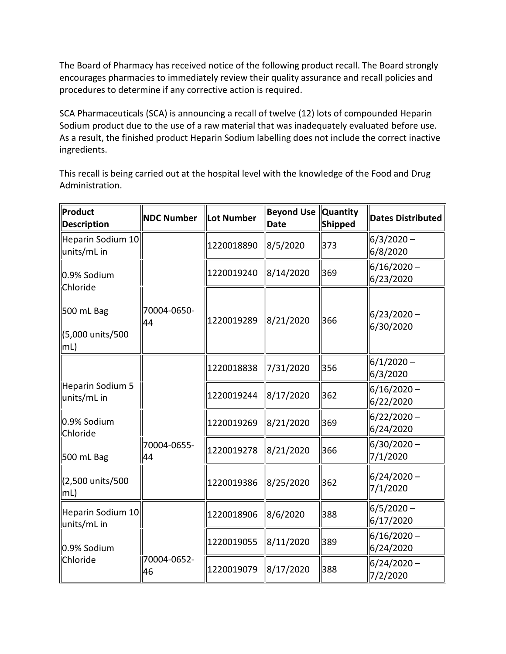The Board of Pharmacy has received notice of the following product recall. The Board strongly encourages pharmacies to immediately review their quality assurance and recall policies and procedures to determine if any corrective action is required.

 Sodium product due to the use of a raw material that was inadequately evaluated before use. As a result, the finished product Heparin Sodium labelling does not include the correct inactive SCA Pharmaceuticals (SCA) is announcing a recall of twelve (12) lots of compounded Heparin ingredients.

 This recall is being carried out at the hospital level with the knowledge of the Food and Drug Administration.

| Product<br><b>Description</b>          | <b>NDC Number</b> | <b>Lot Number</b> | <b>Beyond Use Quantity</b><br><b>Date</b> | Shipped | <b>Dates Distributed</b>   |
|----------------------------------------|-------------------|-------------------|-------------------------------------------|---------|----------------------------|
| Heparin Sodium 10<br>units/mL in       |                   | 1220018890        | 8/5/2020                                  | 373     | $6/3/2020 -$<br>6/8/2020   |
| 0.9% Sodium<br>Chloride                |                   | 1220019240        | 8/14/2020                                 | 369     | $6/16/2020 -$<br>6/23/2020 |
| 500 mL Bag<br>∫(5,000 units/500<br>mL) | 70004-0650-<br>44 | 1220019289        | 8/21/2020                                 | 366     | $6/23/2020 -$<br>6/30/2020 |
|                                        |                   | 1220018838        | 7/31/2020                                 | 356     | $6/1/2020 -$<br>6/3/2020   |
| Heparin Sodium 5<br>units/mL in        |                   | 1220019244        | 8/17/2020                                 | 362     | $6/16/2020 -$<br>6/22/2020 |
| 0.9% Sodium<br>Chloride                |                   | 1220019269        | 8/21/2020                                 | 369     | $6/22/2020 -$<br>6/24/2020 |
| 500 mL Bag                             | 70004-0655-<br>44 | 1220019278        | 8/21/2020                                 | 366     | $6/30/2020 -$<br>7/1/2020  |
| (2,500 units/500<br>mL)                |                   | 1220019386        | 8/25/2020                                 | 362     | $6/24/2020 -$<br>7/1/2020  |
| Heparin Sodium 10<br>units/mL in       |                   | 1220018906        | 8/6/2020                                  | 388     | $6/5/2020 -$<br>6/17/2020  |
| 0.9% Sodium                            |                   | 1220019055        | 8/11/2020                                 | 389     | $6/16/2020 -$<br>6/24/2020 |
| Chloride                               | 70004-0652-<br>46 | 1220019079        | 8/17/2020                                 | 388     | $6/24/2020 -$<br>7/2/2020  |